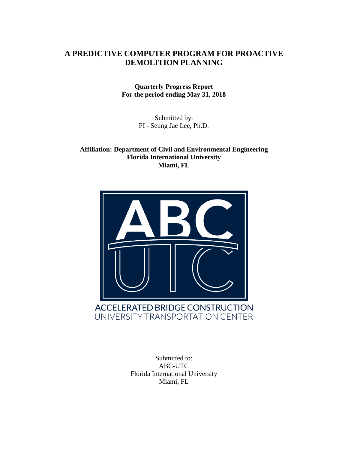## **A PREDICTIVE COMPUTER PROGRAM FOR PROACTIVE DEMOLITION PLANNING**

**Quarterly Progress Report For the period ending May 31, 2018**

> Submitted by: PI - Seung Jae Lee, Ph.D.

**Affiliation: Department of Civil and Environmental Engineering Florida International University Miami, FL**



Submitted to: ABC-UTC Florida International University Miami, FL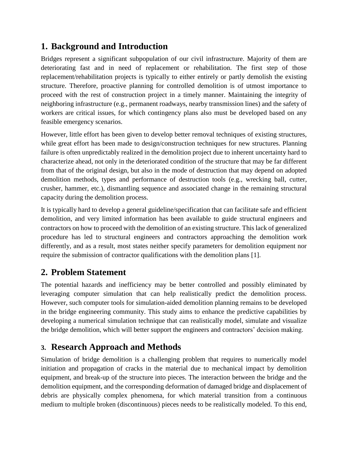# **1. Background and Introduction**

Bridges represent a significant subpopulation of our civil infrastructure. Majority of them are deteriorating fast and in need of replacement or rehabilitation. The first step of those replacement/rehabilitation projects is typically to either entirely or partly demolish the existing structure. Therefore, proactive planning for controlled demolition is of utmost importance to proceed with the rest of construction project in a timely manner. Maintaining the integrity of neighboring infrastructure (e.g., permanent roadways, nearby transmission lines) and the safety of workers are critical issues, for which contingency plans also must be developed based on any feasible emergency scenarios.

However, little effort has been given to develop better removal techniques of existing structures, while great effort has been made to design/construction techniques for new structures. Planning failure is often unpredictably realized in the demolition project due to inherent uncertainty hard to characterize ahead, not only in the deteriorated condition of the structure that may be far different from that of the original design, but also in the mode of destruction that may depend on adopted demolition methods, types and performance of destruction tools (e.g., wrecking ball, cutter, crusher, hammer, etc.), dismantling sequence and associated change in the remaining structural capacity during the demolition process.

It is typically hard to develop a general guideline/specification that can facilitate safe and efficient demolition, and very limited information has been available to guide structural engineers and contractors on how to proceed with the demolition of an existing structure. This lack of generalized procedure has led to structural engineers and contractors approaching the demolition work differently, and as a result, most states neither specify parameters for demolition equipment nor require the submission of contractor qualifications with the demolition plans [1].

# **2. Problem Statement**

The potential hazards and inefficiency may be better controlled and possibly eliminated by leveraging computer simulation that can help realistically predict the demolition process. However, such computer tools for simulation-aided demolition planning remains to be developed in the bridge engineering community. This study aims to enhance the predictive capabilities by developing a numerical simulation technique that can realistically model, simulate and visualize the bridge demolition, which will better support the engineers and contractors' decision making.

# **3. Research Approach and Methods**

Simulation of bridge demolition is a challenging problem that requires to numerically model initiation and propagation of cracks in the material due to mechanical impact by demolition equipment, and break-up of the structure into pieces. The interaction between the bridge and the demolition equipment, and the corresponding deformation of damaged bridge and displacement of debris are physically complex phenomena, for which material transition from a continuous medium to multiple broken (discontinuous) pieces needs to be realistically modeled. To this end,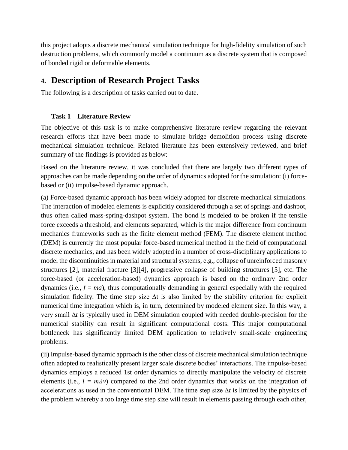this project adopts a discrete mechanical simulation technique for high-fidelity simulation of such destruction problems, which commonly model a continuum as a discrete system that is composed of bonded rigid or deformable elements.

## **4. Description of Research Project Tasks**

The following is a description of tasks carried out to date.

### **Task 1 – Literature Review**

The objective of this task is to make comprehensive literature review regarding the relevant research efforts that have been made to simulate bridge demolition process using discrete mechanical simulation technique. Related literature has been extensively reviewed, and brief summary of the findings is provided as below:

Based on the literature review, it was concluded that there are largely two different types of approaches can be made depending on the order of dynamics adopted for the simulation: (i) forcebased or (ii) impulse-based dynamic approach.

(a) Force-based dynamic approach has been widely adopted for discrete mechanical simulations. The interaction of modeled elements is explicitly considered through a set of springs and dashpot, thus often called mass-spring-dashpot system. The bond is modeled to be broken if the tensile force exceeds a threshold, and elements separated, which is the major difference from continuum mechanics frameworks such as the finite element method (FEM). The discrete element method (DEM) is currently the most popular force-based numerical method in the field of computational discrete mechanics, and has been widely adopted in a number of cross-disciplinary applications to model the discontinuities in material and structural systems, e.g., collapse of unreinforced masonry structures [2], material fracture [3][4], progressive collapse of building structures [5], etc. The force-based (or acceleration-based) dynamics approach is based on the ordinary 2nd order dynamics (i.e.,  $f = ma$ ), thus computationally demanding in general especially with the required simulation fidelity. The time step size ∆t is also limited by the stability criterion for explicit numerical time integration which is, in turn, determined by modeled element size. In this way, a very small ∆*t* is typically used in DEM simulation coupled with needed double-precision for the numerical stability can result in significant computational costs. This major computational bottleneck has significantly limited DEM application to relatively small-scale engineering problems.

(ii) Impulse-based dynamic approach is the other class of discrete mechanical simulation technique often adopted to realistically present larger scale discrete bodies' interactions. The impulse-based dynamics employs a reduced 1st order dynamics to directly manipulate the velocity of discrete elements (i.e.,  $i = m\Delta v$ ) compared to the 2nd order dynamics that works on the integration of accelerations as used in the conventional DEM. The time step size ∆*t* is limited by the physics of the problem whereby a too large time step size will result in elements passing through each other,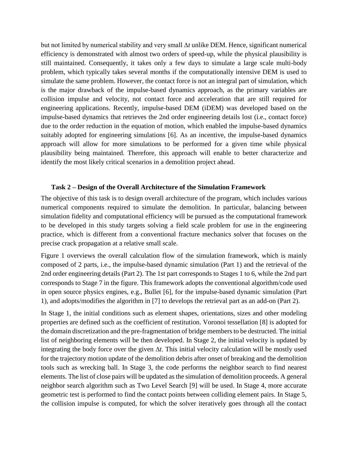but not limited by numerical stability and very small ∆*t* unlike DEM. Hence, significant numerical efficiency is demonstrated with almost two orders of speed-up, while the physical plausibility is still maintained. Consequently, it takes only a few days to simulate a large scale multi-body problem, which typically takes several months if the computationally intensive DEM is used to simulate the same problem. However, the contact force is not an integral part of simulation, which is the major drawback of the impulse-based dynamics approach, as the primary variables are collision impulse and velocity, not contact force and acceleration that are still required for engineering applications. Recently, impulse-based DEM (iDEM) was developed based on the impulse-based dynamics that retrieves the 2nd order engineering details lost (i.e., contact force) due to the order reduction in the equation of motion, which enabled the impulse-based dynamics suitably adopted for engineering simulations [6]. As an incentive, the impulse-based dynamics approach will allow for more simulations to be performed for a given time while physical plausibility being maintained. Therefore, this approach will enable to better characterize and identify the most likely critical scenarios in a demolition project ahead.

#### **Task 2 – Design of the Overall Architecture of the Simulation Framework**

The objective of this task is to design overall architecture of the program, which includes various numerical components required to simulate the demolition. In particular, balancing between simulation fidelity and computational efficiency will be pursued as the computational framework to be developed in this study targets solving a field scale problem for use in the engineering practice, which is different from a conventional fracture mechanics solver that focuses on the precise crack propagation at a relative small scale.

[Figure 1](#page-4-0) overviews the overall calculation flow of the simulation framework, which is mainly composed of 2 parts, i.e., the impulse-based dynamic simulation (Part 1) and the retrieval of the 2nd order engineering details (Part 2). The 1st part corresponds to Stages 1 to 6, while the 2nd part corresponds to Stage 7 in the figure. This framework adopts the conventional algorithm/code used in open source physics engines, e.g., Bullet [6], for the impulse-based dynamic simulation (Part 1), and adopts/modifies the algorithm in [7] to develops the retrieval part as an add-on (Part 2).

In Stage 1, the initial conditions such as element shapes, orientations, sizes and other modeling properties are defined such as the coefficient of restitution. Voronoi tessellation [8] is adopted for the domain discretization and the pre-fragmentation of bridge members to be destructed. The initial list of neighboring elements will be then developed. In Stage 2, the initial velocity is updated by integrating the body force over the given ∆*t*. This initial velocity calculation will be mostly used for the trajectory motion update of the demolition debris after onset of breaking and the demolition tools such as wrecking ball. In Stage 3, the code performs the neighbor search to find nearest elements. The list of close pairs will be updated as the simulation of demolition proceeds. A general neighbor search algorithm such as Two Level Search [9] will be used. In Stage 4, more accurate geometric test is performed to find the contact points between colliding element pairs. In Stage 5, the collision impulse is computed, for which the solver iteratively goes through all the contact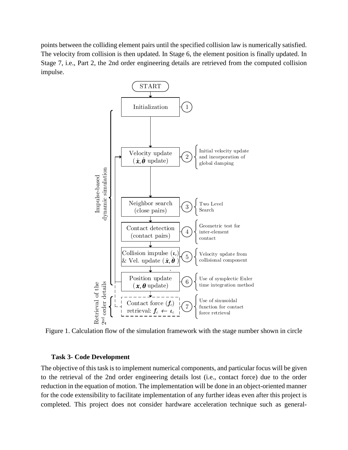points between the colliding element pairs until the specified collision law is numerically satisfied. The velocity from collision is then updated. In Stage 6, the element position is finally updated. In Stage 7, i.e., Part 2, the 2nd order engineering details are retrieved from the computed collision impulse.



<span id="page-4-0"></span>Figure 1. Calculation flow of the simulation framework with the stage number shown in circle

#### **Task 3- Code Development**

The objective of this task is to implement numerical components, and particular focus will be given to the retrieval of the 2nd order engineering details lost (i.e., contact force) due to the order reduction in the equation of motion. The implementation will be done in an object-oriented manner for the code extensibility to facilitate implementation of any further ideas even after this project is completed. This project does not consider hardware acceleration technique such as general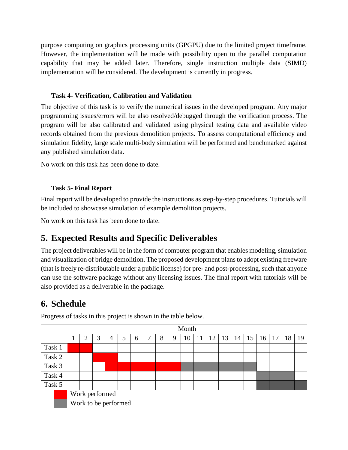purpose computing on graphics processing units (GPGPU) due to the limited project timeframe. However, the implementation will be made with possibility open to the parallel computation capability that may be added later. Therefore, single instruction multiple data (SIMD) implementation will be considered. The development is currently in progress.

### **Task 4- Verification, Calibration and Validation**

The objective of this task is to verify the numerical issues in the developed program. Any major programming issues/errors will be also resolved/debugged through the verification process. The program will be also calibrated and validated using physical testing data and available video records obtained from the previous demolition projects. To assess computational efficiency and simulation fidelity, large scale multi-body simulation will be performed and benchmarked against any published simulation data.

No work on this task has been done to date.

## **Task 5- Final Report**

Final report will be developed to provide the instructions as step-by-step procedures. Tutorials will be included to showcase simulation of example demolition projects.

No work on this task has been done to date.

# **5. Expected Results and Specific Deliverables**

The project deliverables will be in the form of computer program that enables modeling, simulation and visualization of bridge demolition. The proposed development plans to adopt existing freeware (that is freely re-distributable under a public license) for pre- and post-processing, such that anyone can use the software package without any licensing issues. The final report with tutorials will be also provided as a deliverable in the package.

# **6. Schedule**

|        | Month                |   |   |   |   |   |   |   |    |               |    |  |                      |  |    |    |    |    |
|--------|----------------------|---|---|---|---|---|---|---|----|---------------|----|--|----------------------|--|----|----|----|----|
|        | ↑                    | 3 | 4 | 5 | 6 | ⇁ | 8 | 9 | 10 | <sup>11</sup> | 12 |  | $13 \mid 14 \mid 15$ |  | 16 | 17 | 18 | 19 |
| Task 1 |                      |   |   |   |   |   |   |   |    |               |    |  |                      |  |    |    |    |    |
| Task 2 |                      |   |   |   |   |   |   |   |    |               |    |  |                      |  |    |    |    |    |
| Task 3 |                      |   |   |   |   |   |   |   |    |               |    |  |                      |  |    |    |    |    |
| Task 4 |                      |   |   |   |   |   |   |   |    |               |    |  |                      |  |    |    |    |    |
| Task 5 |                      |   |   |   |   |   |   |   |    |               |    |  |                      |  |    |    |    |    |
|        | Work performed       |   |   |   |   |   |   |   |    |               |    |  |                      |  |    |    |    |    |
|        | Work to be performed |   |   |   |   |   |   |   |    |               |    |  |                      |  |    |    |    |    |

Progress of tasks in this project is shown in the table below.